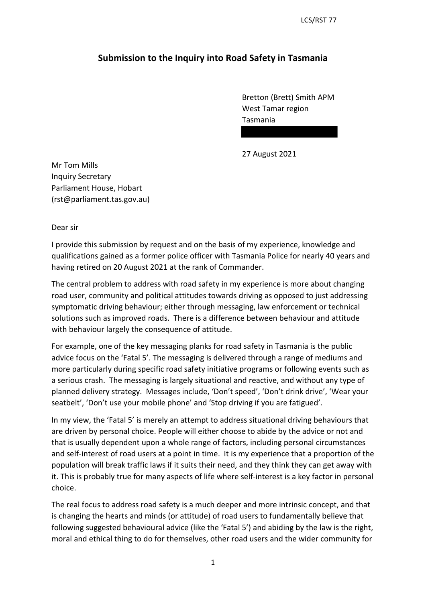LCS/RST 77

## **Submission to the Inquiry into Road Safety in Tasmania**

Bretton (Brett) Smith APM West Tamar region Tasmania

27 August 2021

Mr Tom Mills Inquiry Secretary Parliament House, Hobart (rst@parliament.tas.gov.au)

Dear sir

I provide this submission by request and on the basis of my experience, knowledge and qualifications gained as a former police officer with Tasmania Police for nearly 40 years and having retired on 20 August 2021 at the rank of Commander.

The central problem to address with road safety in my experience is more about changing road user, community and political attitudes towards driving as opposed to just addressing symptomatic driving behaviour; either through messaging, law enforcement or technical solutions such as improved roads. There is a difference between behaviour and attitude with behaviour largely the consequence of attitude.

For example, one of the key messaging planks for road safety in Tasmania is the public advice focus on the 'Fatal 5'. The messaging is delivered through a range of mediums and more particularly during specific road safety initiative programs or following events such as a serious crash. The messaging is largely situational and reactive, and without any type of planned delivery strategy. Messages include, 'Don't speed', 'Don't drink drive', 'Wear your seatbelt', 'Don't use your mobile phone' and 'Stop driving if you are fatigued'.

In my view, the 'Fatal 5' is merely an attempt to address situational driving behaviours that are driven by personal choice. People will either choose to abide by the advice or not and that is usually dependent upon a whole range of factors, including personal circumstances and self-interest of road users at a point in time. It is my experience that a proportion of the population will break traffic laws if it suits their need, and they think they can get away with it. This is probably true for many aspects of life where self-interest is a key factor in personal choice.

The real focus to address road safety is a much deeper and more intrinsic concept, and that is changing the hearts and minds (or attitude) of road users to fundamentally believe that following suggested behavioural advice (like the 'Fatal 5') and abiding by the law is the right, moral and ethical thing to do for themselves, other road users and the wider community for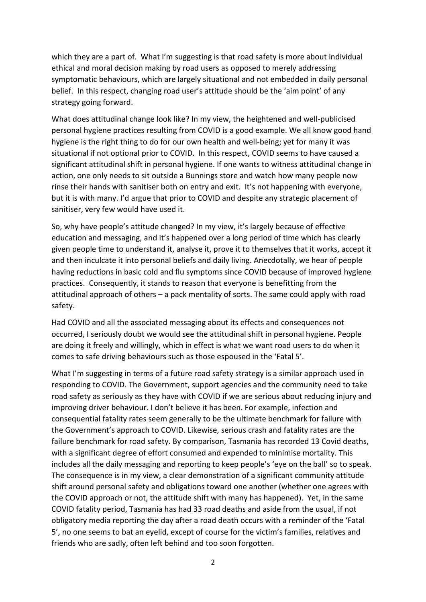which they are a part of. What I'm suggesting is that road safety is more about individual ethical and moral decision making by road users as opposed to merely addressing symptomatic behaviours, which are largely situational and not embedded in daily personal belief. In this respect, changing road user's attitude should be the 'aim point' of any strategy going forward.

What does attitudinal change look like? In my view, the heightened and well-publicised personal hygiene practices resulting from COVID is a good example. We all know good hand hygiene is the right thing to do for our own health and well-being; yet for many it was situational if not optional prior to COVID. In this respect, COVID seems to have caused a significant attitudinal shift in personal hygiene. If one wants to witness attitudinal change in action, one only needs to sit outside a Bunnings store and watch how many people now rinse their hands with sanitiser both on entry and exit. It's not happening with everyone, but it is with many. I'd argue that prior to COVID and despite any strategic placement of sanitiser, very few would have used it.

So, why have people's attitude changed? In my view, it's largely because of effective education and messaging, and it's happened over a long period of time which has clearly given people time to understand it, analyse it, prove it to themselves that it works, accept it and then inculcate it into personal beliefs and daily living. Anecdotally, we hear of people having reductions in basic cold and flu symptoms since COVID because of improved hygiene practices. Consequently, it stands to reason that everyone is benefitting from the attitudinal approach of others – a pack mentality of sorts. The same could apply with road safety.

Had COVID and all the associated messaging about its effects and consequences not occurred, I seriously doubt we would see the attitudinal shift in personal hygiene. People are doing it freely and willingly, which in effect is what we want road users to do when it comes to safe driving behaviours such as those espoused in the 'Fatal 5'.

What I'm suggesting in terms of a future road safety strategy is a similar approach used in responding to COVID. The Government, support agencies and the community need to take road safety as seriously as they have with COVID if we are serious about reducing injury and improving driver behaviour. I don't believe it has been. For example, infection and consequential fatality rates seem generally to be the ultimate benchmark for failure with the Government's approach to COVID. Likewise, serious crash and fatality rates are the failure benchmark for road safety. By comparison, Tasmania has recorded 13 Covid deaths, with a significant degree of effort consumed and expended to minimise mortality. This includes all the daily messaging and reporting to keep people's 'eye on the ball' so to speak. The consequence is in my view, a clear demonstration of a significant community attitude shift around personal safety and obligations toward one another (whether one agrees with the COVID approach or not, the attitude shift with many has happened). Yet, in the same COVID fatality period, Tasmania has had 33 road deaths and aside from the usual, if not obligatory media reporting the day after a road death occurs with a reminder of the 'Fatal 5', no one seems to bat an eyelid, except of course for the victim's families, relatives and friends who are sadly, often left behind and too soon forgotten.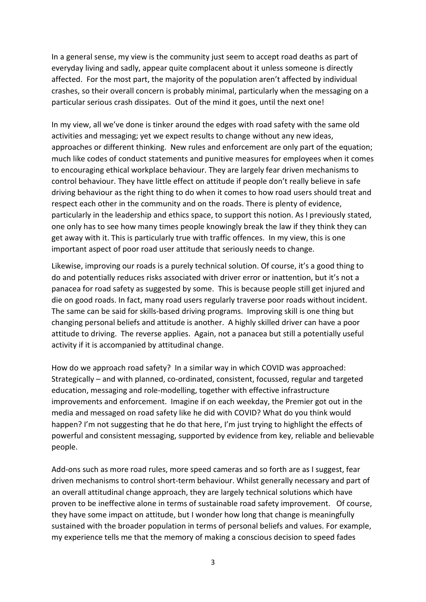In a general sense, my view is the community just seem to accept road deaths as part of everyday living and sadly, appear quite complacent about it unless someone is directly affected. For the most part, the majority of the population aren't affected by individual crashes, so their overall concern is probably minimal, particularly when the messaging on a particular serious crash dissipates. Out of the mind it goes, until the next one!

In my view, all we've done is tinker around the edges with road safety with the same old activities and messaging; yet we expect results to change without any new ideas, approaches or different thinking. New rules and enforcement are only part of the equation; much like codes of conduct statements and punitive measures for employees when it comes to encouraging ethical workplace behaviour. They are largely fear driven mechanisms to control behaviour. They have little effect on attitude if people don't really believe in safe driving behaviour as the right thing to do when it comes to how road users should treat and respect each other in the community and on the roads. There is plenty of evidence, particularly in the leadership and ethics space, to support this notion. As I previously stated, one only has to see how many times people knowingly break the law if they think they can get away with it. This is particularly true with traffic offences. In my view, this is one important aspect of poor road user attitude that seriously needs to change.

Likewise, improving our roads is a purely technical solution. Of course, it's a good thing to do and potentially reduces risks associated with driver error or inattention, but it's not a panacea for road safety as suggested by some. This is because people still get injured and die on good roads. In fact, many road users regularly traverse poor roads without incident. The same can be said for skills-based driving programs. Improving skill is one thing but changing personal beliefs and attitude is another. A highly skilled driver can have a poor attitude to driving. The reverse applies. Again, not a panacea but still a potentially useful activity if it is accompanied by attitudinal change.

How do we approach road safety? In a similar way in which COVID was approached: Strategically – and with planned, co-ordinated, consistent, focussed, regular and targeted education, messaging and role-modelling, together with effective infrastructure improvements and enforcement. Imagine if on each weekday, the Premier got out in the media and messaged on road safety like he did with COVID? What do you think would happen? I'm not suggesting that he do that here, I'm just trying to highlight the effects of powerful and consistent messaging, supported by evidence from key, reliable and believable people.

Add-ons such as more road rules, more speed cameras and so forth are as I suggest, fear driven mechanisms to control short-term behaviour. Whilst generally necessary and part of an overall attitudinal change approach, they are largely technical solutions which have proven to be ineffective alone in terms of sustainable road safety improvement. Of course, they have some impact on attitude, but I wonder how long that change is meaningfully sustained with the broader population in terms of personal beliefs and values. For example, my experience tells me that the memory of making a conscious decision to speed fades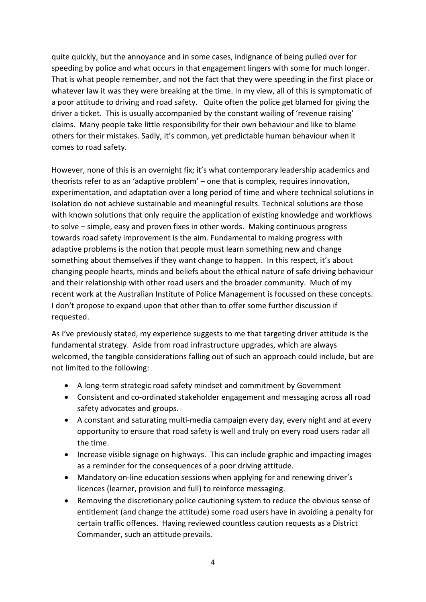quite quickly, but the annoyance and in some cases, indignance of being pulled over for speeding by police and what occurs in that engagement lingers with some for much longer. That is what people remember, and not the fact that they were speeding in the first place or whatever law it was they were breaking at the time. In my view, all of this is symptomatic of a poor attitude to driving and road safety. Quite often the police get blamed for giving the driver a ticket. This is usually accompanied by the constant wailing of 'revenue raising' claims. Many people take little responsibility for their own behaviour and like to blame others for their mistakes. Sadly, it's common, yet predictable human behaviour when it comes to road safety.

However, none of this is an overnight fix; it's what contemporary leadership academics and theorists refer to as an 'adaptive problem' – one that is complex, requires innovation, experimentation, and adaptation over a long period of time and where technical solutions in isolation do not achieve sustainable and meaningful results. Technical solutions are those with known solutions that only require the application of existing knowledge and workflows to solve – simple, easy and proven fixes in other words. Making continuous progress towards road safety improvement is the aim. Fundamental to making progress with adaptive problems is the notion that people must learn something new and change something about themselves if they want change to happen. In this respect, it's about changing people hearts, minds and beliefs about the ethical nature of safe driving behaviour and their relationship with other road users and the broader community. Much of my recent work at the Australian Institute of Police Management is focussed on these concepts. I don't propose to expand upon that other than to offer some further discussion if requested.

As I've previously stated, my experience suggests to me that targeting driver attitude is the fundamental strategy. Aside from road infrastructure upgrades, which are always welcomed, the tangible considerations falling out of such an approach could include, but are not limited to the following:

- A long-term strategic road safety mindset and commitment by Government
- Consistent and co-ordinated stakeholder engagement and messaging across all road safety advocates and groups.
- A constant and saturating multi-media campaign every day, every night and at every opportunity to ensure that road safety is well and truly on every road users radar all the time.
- Increase visible signage on highways. This can include graphic and impacting images as a reminder for the consequences of a poor driving attitude.
- Mandatory on-line education sessions when applying for and renewing driver's licences (learner, provision and full) to reinforce messaging.
- Removing the discretionary police cautioning system to reduce the obvious sense of entitlement (and change the attitude) some road users have in avoiding a penalty for certain traffic offences. Having reviewed countless caution requests as a District Commander, such an attitude prevails.